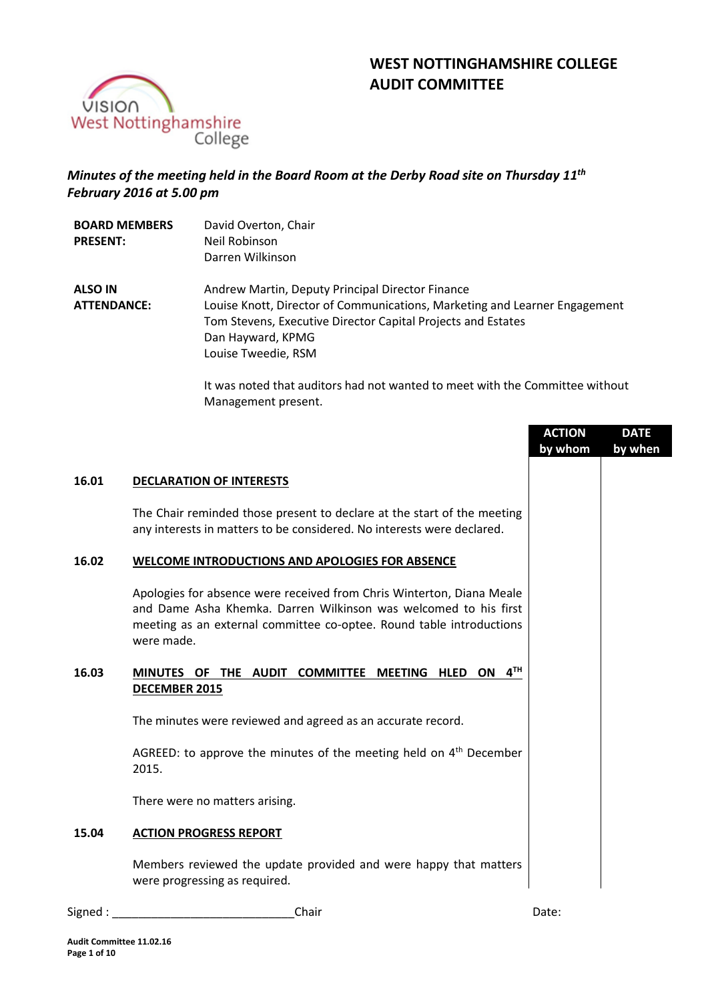



# *Minutes of the meeting held in the Board Room at the Derby Road site on Thursday 11th February 2016 at 5.00 pm*

| <b>BOARD MEMBERS</b><br><b>PRESENT:</b> | David Overton, Chair<br>Neil Robinson<br>Darren Wilkinson                                                                                                                                                                                  |
|-----------------------------------------|--------------------------------------------------------------------------------------------------------------------------------------------------------------------------------------------------------------------------------------------|
| <b>ALSO IN</b><br><b>ATTENDANCE:</b>    | Andrew Martin, Deputy Principal Director Finance<br>Louise Knott, Director of Communications, Marketing and Learner Engagement<br>Tom Stevens, Executive Director Capital Projects and Estates<br>Dan Hayward, KPMG<br>Louise Tweedie, RSM |

It was noted that auditors had not wanted to meet with the Committee without Management present.

|       |                                                                                                                                                                                                                                 | <b>ACTION</b><br>by whom | <b>DATE</b><br>by when |
|-------|---------------------------------------------------------------------------------------------------------------------------------------------------------------------------------------------------------------------------------|--------------------------|------------------------|
| 16.01 | <b>DECLARATION OF INTERESTS</b>                                                                                                                                                                                                 |                          |                        |
|       | The Chair reminded those present to declare at the start of the meeting<br>any interests in matters to be considered. No interests were declared.                                                                               |                          |                        |
| 16.02 | <b>WELCOME INTRODUCTIONS AND APOLOGIES FOR ABSENCE</b>                                                                                                                                                                          |                          |                        |
|       | Apologies for absence were received from Chris Winterton, Diana Meale<br>and Dame Asha Khemka. Darren Wilkinson was welcomed to his first<br>meeting as an external committee co-optee. Round table introductions<br>were made. |                          |                        |
| 16.03 | 4 <sup>TH</sup><br>MINUTES OF THE AUDIT COMMITTEE<br><b>MEETING</b><br>HLED ON<br>DECEMBER 2015                                                                                                                                 |                          |                        |
|       | The minutes were reviewed and agreed as an accurate record.                                                                                                                                                                     |                          |                        |
|       | AGREED: to approve the minutes of the meeting held on $4th$ December<br>2015.                                                                                                                                                   |                          |                        |
|       | There were no matters arising.                                                                                                                                                                                                  |                          |                        |
| 15.04 | <b>ACTION PROGRESS REPORT</b>                                                                                                                                                                                                   |                          |                        |
|       | Members reviewed the update provided and were happy that matters<br>were progressing as required.                                                                                                                               |                          |                        |
|       |                                                                                                                                                                                                                                 |                          |                        |

Signed : \_\_\_\_\_\_\_\_\_\_\_\_\_\_\_\_\_\_\_\_\_\_\_\_\_\_\_\_Chair Date: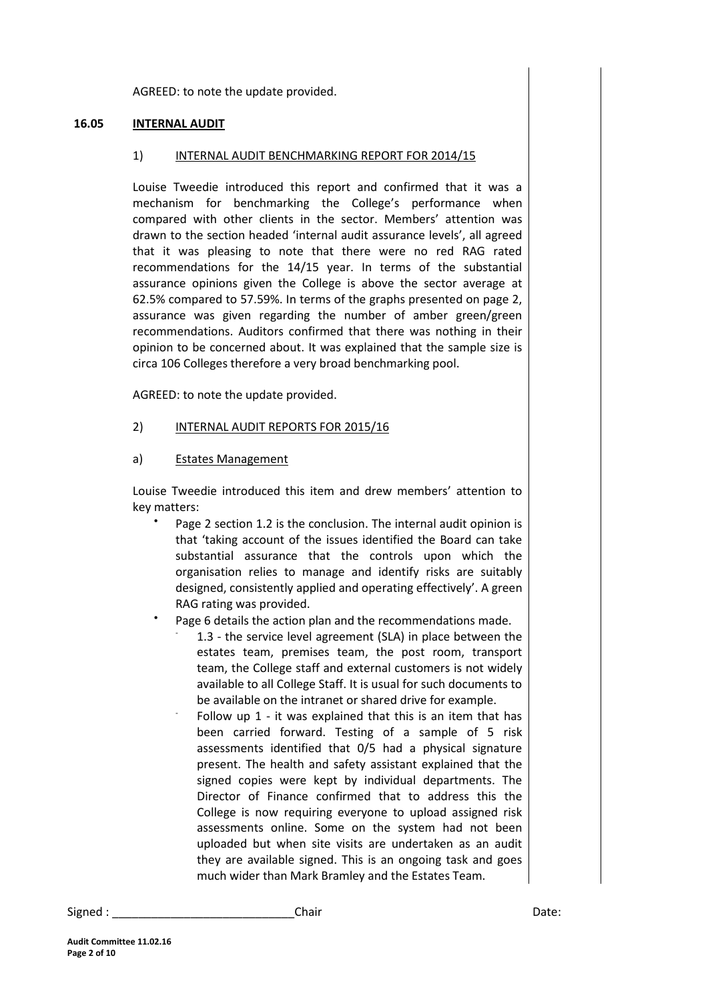AGREED: to note the update provided.

## **16.05 INTERNAL AUDIT**

#### 1) INTERNAL AUDIT BENCHMARKING REPORT FOR 2014/15

Louise Tweedie introduced this report and confirmed that it was a mechanism for benchmarking the College's performance when compared with other clients in the sector. Members' attention was drawn to the section headed 'internal audit assurance levels', all agreed that it was pleasing to note that there were no red RAG rated recommendations for the 14/15 year. In terms of the substantial assurance opinions given the College is above the sector average at 62.5% compared to 57.59%. In terms of the graphs presented on page 2, assurance was given regarding the number of amber green/green recommendations. Auditors confirmed that there was nothing in their opinion to be concerned about. It was explained that the sample size is circa 106 Colleges therefore a very broad benchmarking pool.

AGREED: to note the update provided.

2) INTERNAL AUDIT REPORTS FOR 2015/16

#### a) Estates Management

Louise Tweedie introduced this item and drew members' attention to key matters:

- Page 2 section 1.2 is the conclusion. The internal audit opinion is that 'taking account of the issues identified the Board can take substantial assurance that the controls upon which the organisation relies to manage and identify risks are suitably designed, consistently applied and operating effectively'. A green RAG rating was provided.
- Page 6 details the action plan and the recommendations made.
	- 1.3 the service level agreement (SLA) in place between the estates team, premises team, the post room, transport team, the College staff and external customers is not widely available to all College Staff. It is usual for such documents to be available on the intranet or shared drive for example.
	- Follow up 1 - it was explained that this is an item that has been carried forward. Testing of a sample of 5 risk assessments identified that 0/5 had a physical signature present. The health and safety assistant explained that the signed copies were kept by individual departments. The Director of Finance confirmed that to address this the College is now requiring everyone to upload assigned risk assessments online. Some on the system had not been uploaded but when site visits are undertaken as an audit they are available signed. This is an ongoing task and goes much wider than Mark Bramley and the Estates Team.

Signed : \_\_\_\_\_\_\_\_\_\_\_\_\_\_\_\_\_\_\_\_\_\_\_\_\_\_\_\_Chair Date: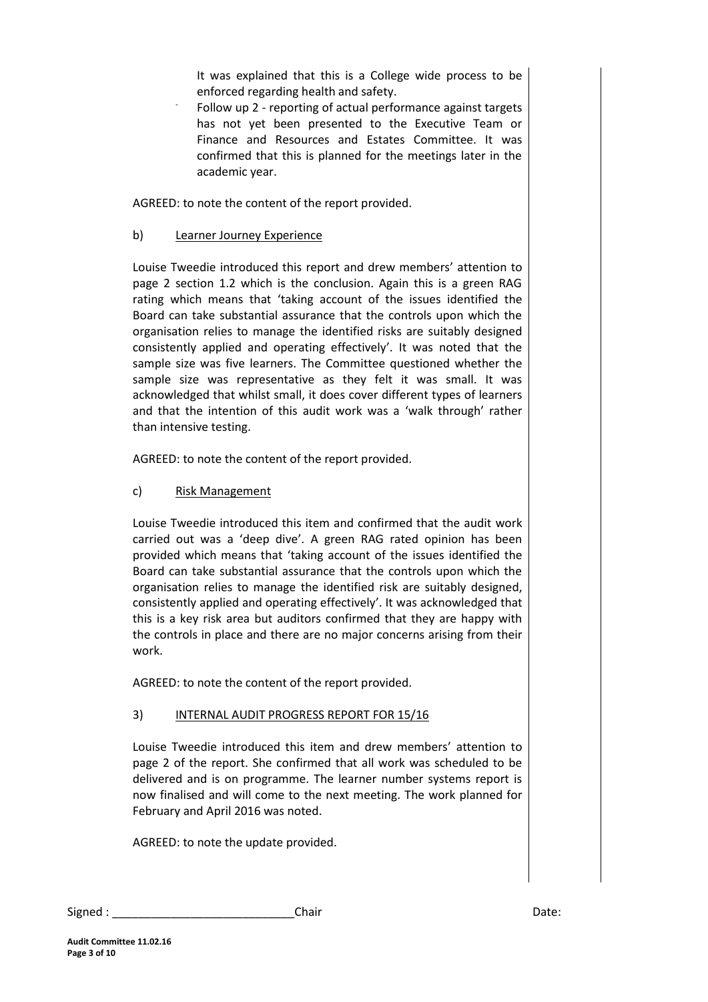It was explained that this is a College wide process to be enforced regarding health and safety.

- Follow up 2 - reporting of actual performance against targets has not yet been presented to the Executive Team or Finance and Resources and Estates Committee. It was confirmed that this is planned for the meetings later in the academic year.

AGREED: to note the content of the report provided.

# b) Learner Journey Experience

Louise Tweedie introduced this report and drew members' attention to page 2 section 1.2 which is the conclusion. Again this is a green RAG rating which means that 'taking account of the issues identified the Board can take substantial assurance that the controls upon which the organisation relies to manage the identified risks are suitably designed consistently applied and operating effectively'. It was noted that the sample size was five learners. The Committee questioned whether the sample size was representative as they felt it was small. It was acknowledged that whilst small, it does cover different types of learners and that the intention of this audit work was a 'walk through' rather than intensive testing.

AGREED: to note the content of the report provided.

c) Risk Management

Louise Tweedie introduced this item and confirmed that the audit work carried out was a 'deep dive'. A green RAG rated opinion has been provided which means that 'taking account of the issues identified the Board can take substantial assurance that the controls upon which the organisation relies to manage the identified risk are suitably designed, consistently applied and operating effectively'. It was acknowledged that this is a key risk area but auditors confirmed that they are happy with the controls in place and there are no major concerns arising from their work.

AGREED: to note the content of the report provided.

# 3) INTERNAL AUDIT PROGRESS REPORT FOR 15/16

Louise Tweedie introduced this item and drew members' attention to page 2 of the report. She confirmed that all work was scheduled to be delivered and is on programme. The learner number systems report is now finalised and will come to the next meeting. The work planned for February and April 2016 was noted.

AGREED: to note the update provided.

| Signed | Chair | า∽+∠<br>Dale. |
|--------|-------|---------------|
|--------|-------|---------------|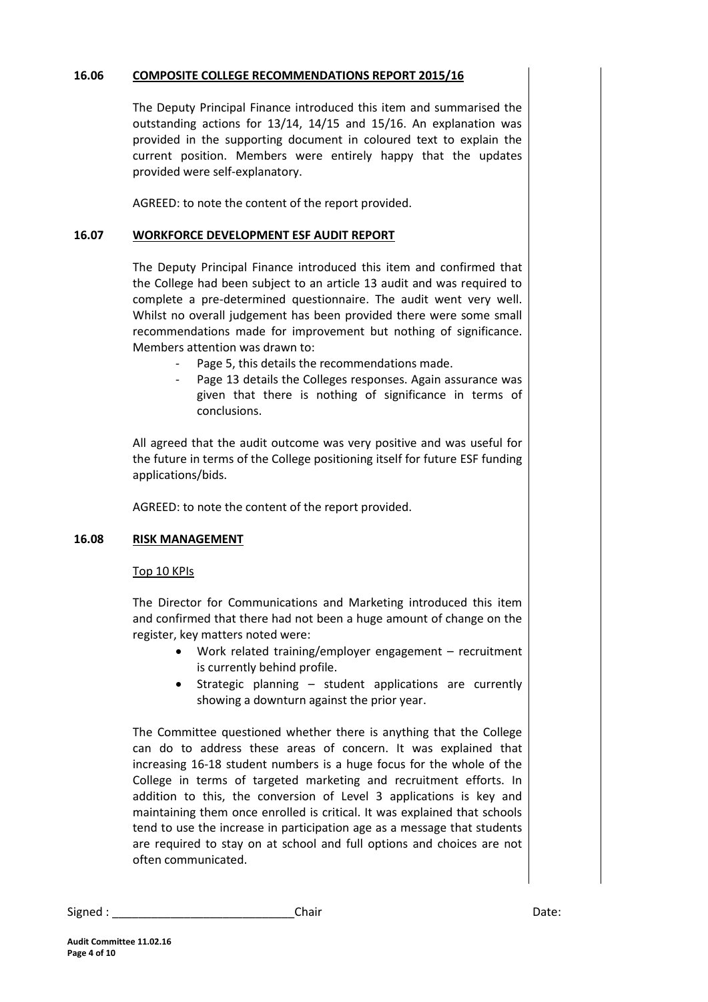# **16.06 COMPOSITE COLLEGE RECOMMENDATIONS REPORT 2015/16**

The Deputy Principal Finance introduced this item and summarised the outstanding actions for 13/14, 14/15 and 15/16. An explanation was provided in the supporting document in coloured text to explain the current position. Members were entirely happy that the updates provided were self-explanatory.

AGREED: to note the content of the report provided.

# **16.07 WORKFORCE DEVELOPMENT ESF AUDIT REPORT**

The Deputy Principal Finance introduced this item and confirmed that the College had been subject to an article 13 audit and was required to complete a pre-determined questionnaire. The audit went very well. Whilst no overall judgement has been provided there were some small recommendations made for improvement but nothing of significance. Members attention was drawn to:

- Page 5, this details the recommendations made.
- Page 13 details the Colleges responses. Again assurance was given that there is nothing of significance in terms of conclusions.

All agreed that the audit outcome was very positive and was useful for the future in terms of the College positioning itself for future ESF funding applications/bids.

AGREED: to note the content of the report provided.

## **16.08 RISK MANAGEMENT**

## Top 10 KPIs

The Director for Communications and Marketing introduced this item and confirmed that there had not been a huge amount of change on the register, key matters noted were:

- Work related training/employer engagement recruitment is currently behind profile.
- Strategic planning student applications are currently showing a downturn against the prior year.

The Committee questioned whether there is anything that the College can do to address these areas of concern. It was explained that increasing 16-18 student numbers is a huge focus for the whole of the College in terms of targeted marketing and recruitment efforts. In addition to this, the conversion of Level 3 applications is key and maintaining them once enrolled is critical. It was explained that schools tend to use the increase in participation age as a message that students are required to stay on at school and full options and choices are not often communicated.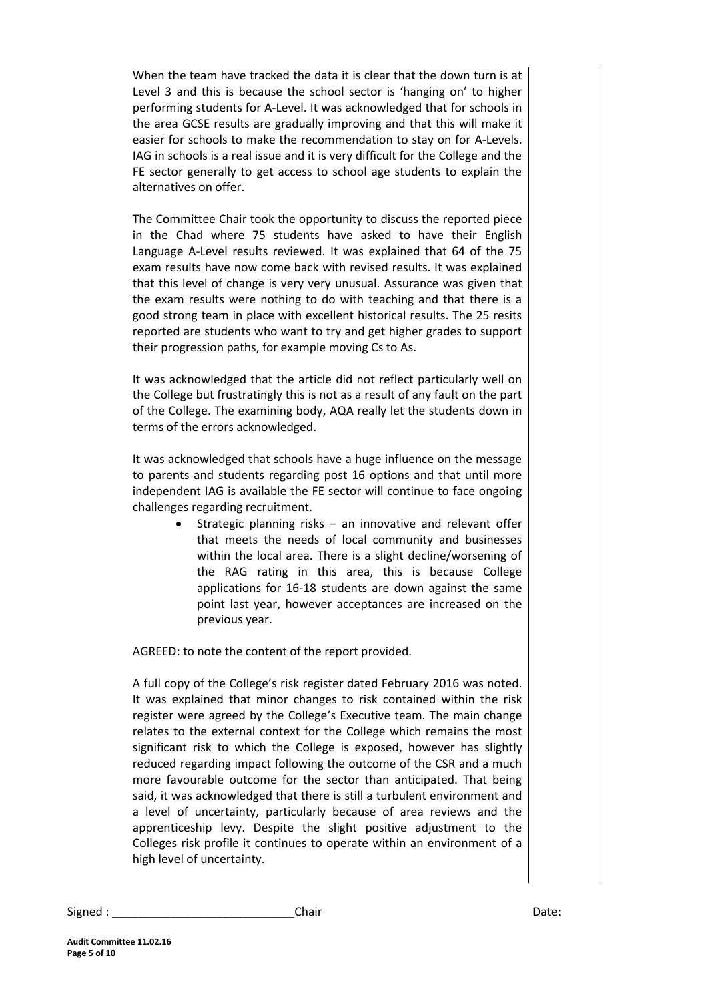When the team have tracked the data it is clear that the down turn is at Level 3 and this is because the school sector is 'hanging on' to higher performing students for A-Level. It was acknowledged that for schools in the area GCSE results are gradually improving and that this will make it easier for schools to make the recommendation to stay on for A-Levels. IAG in schools is a real issue and it is very difficult for the College and the FE sector generally to get access to school age students to explain the alternatives on offer.

The Committee Chair took the opportunity to discuss the reported piece in the Chad where 75 students have asked to have their English Language A-Level results reviewed. It was explained that 64 of the 75 exam results have now come back with revised results. It was explained that this level of change is very very unusual. Assurance was given that the exam results were nothing to do with teaching and that there is a good strong team in place with excellent historical results. The 25 resits reported are students who want to try and get higher grades to support their progression paths, for example moving Cs to As.

It was acknowledged that the article did not reflect particularly well on the College but frustratingly this is not as a result of any fault on the part of the College. The examining body, AQA really let the students down in terms of the errors acknowledged.

It was acknowledged that schools have a huge influence on the message to parents and students regarding post 16 options and that until more independent IAG is available the FE sector will continue to face ongoing challenges regarding recruitment.

> Strategic planning risks – an innovative and relevant offer that meets the needs of local community and businesses within the local area. There is a slight decline/worsening of the RAG rating in this area, this is because College applications for 16-18 students are down against the same point last year, however acceptances are increased on the previous year.

AGREED: to note the content of the report provided.

A full copy of the College's risk register dated February 2016 was noted. It was explained that minor changes to risk contained within the risk register were agreed by the College's Executive team. The main change relates to the external context for the College which remains the most significant risk to which the College is exposed, however has slightly reduced regarding impact following the outcome of the CSR and a much more favourable outcome for the sector than anticipated. That being said, it was acknowledged that there is still a turbulent environment and a level of uncertainty, particularly because of area reviews and the apprenticeship levy. Despite the slight positive adjustment to the Colleges risk profile it continues to operate within an environment of a high level of uncertainty.

| Signed | Chair | Date: |
|--------|-------|-------|
|        |       |       |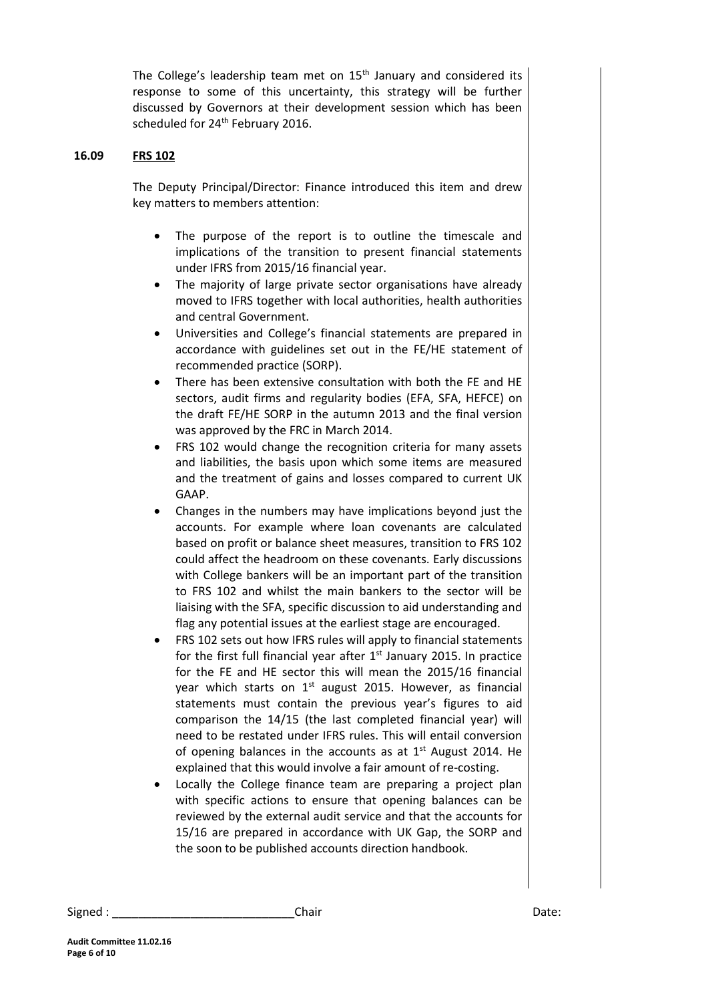The College's leadership team met on 15<sup>th</sup> January and considered its response to some of this uncertainty, this strategy will be further discussed by Governors at their development session which has been scheduled for 24<sup>th</sup> February 2016.

#### **16.09 FRS 102**

The Deputy Principal/Director: Finance introduced this item and drew key matters to members attention:

- The purpose of the report is to outline the timescale and implications of the transition to present financial statements under IFRS from 2015/16 financial year.
- The majority of large private sector organisations have already moved to IFRS together with local authorities, health authorities and central Government.
- Universities and College's financial statements are prepared in accordance with guidelines set out in the FE/HE statement of recommended practice (SORP).
- There has been extensive consultation with both the FE and HE sectors, audit firms and regularity bodies (EFA, SFA, HEFCE) on the draft FE/HE SORP in the autumn 2013 and the final version was approved by the FRC in March 2014.
- FRS 102 would change the recognition criteria for many assets and liabilities, the basis upon which some items are measured and the treatment of gains and losses compared to current UK GAAP.
- Changes in the numbers may have implications beyond just the accounts. For example where loan covenants are calculated based on profit or balance sheet measures, transition to FRS 102 could affect the headroom on these covenants. Early discussions with College bankers will be an important part of the transition to FRS 102 and whilst the main bankers to the sector will be liaising with the SFA, specific discussion to aid understanding and flag any potential issues at the earliest stage are encouraged.
- FRS 102 sets out how IFRS rules will apply to financial statements for the first full financial year after  $1<sup>st</sup>$  January 2015. In practice for the FE and HE sector this will mean the 2015/16 financial year which starts on  $1<sup>st</sup>$  august 2015. However, as financial statements must contain the previous year's figures to aid comparison the 14/15 (the last completed financial year) will need to be restated under IFRS rules. This will entail conversion of opening balances in the accounts as at  $1<sup>st</sup>$  August 2014. He explained that this would involve a fair amount of re-costing.
- Locally the College finance team are preparing a project plan with specific actions to ensure that opening balances can be reviewed by the external audit service and that the accounts for 15/16 are prepared in accordance with UK Gap, the SORP and the soon to be published accounts direction handbook.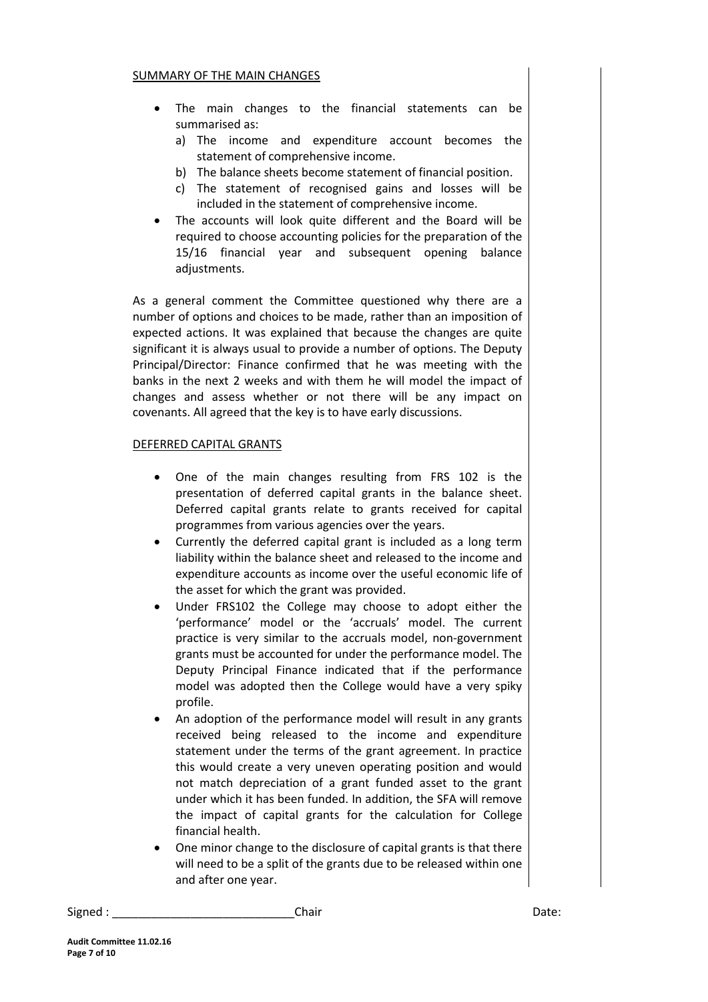#### SUMMARY OF THE MAIN CHANGES

- The main changes to the financial statements can be summarised as:
	- a) The income and expenditure account becomes the statement of comprehensive income.
	- b) The balance sheets become statement of financial position.
	- c) The statement of recognised gains and losses will be included in the statement of comprehensive income.
- The accounts will look quite different and the Board will be required to choose accounting policies for the preparation of the 15/16 financial year and subsequent opening balance adjustments.

As a general comment the Committee questioned why there are a number of options and choices to be made, rather than an imposition of expected actions. It was explained that because the changes are quite significant it is always usual to provide a number of options. The Deputy Principal/Director: Finance confirmed that he was meeting with the banks in the next 2 weeks and with them he will model the impact of changes and assess whether or not there will be any impact on covenants. All agreed that the key is to have early discussions.

## DEFERRED CAPITAL GRANTS

- One of the main changes resulting from FRS 102 is the presentation of deferred capital grants in the balance sheet. Deferred capital grants relate to grants received for capital programmes from various agencies over the years.
- Currently the deferred capital grant is included as a long term liability within the balance sheet and released to the income and expenditure accounts as income over the useful economic life of the asset for which the grant was provided.
- Under FRS102 the College may choose to adopt either the 'performance' model or the 'accruals' model. The current practice is very similar to the accruals model, non-government grants must be accounted for under the performance model. The Deputy Principal Finance indicated that if the performance model was adopted then the College would have a very spiky profile.
- An adoption of the performance model will result in any grants received being released to the income and expenditure statement under the terms of the grant agreement. In practice this would create a very uneven operating position and would not match depreciation of a grant funded asset to the grant under which it has been funded. In addition, the SFA will remove the impact of capital grants for the calculation for College financial health.
- One minor change to the disclosure of capital grants is that there will need to be a split of the grants due to be released within one and after one year.

Signed : \_\_\_\_\_\_\_\_\_\_\_\_\_\_\_\_\_\_\_\_\_\_\_\_\_\_\_\_Chair Date: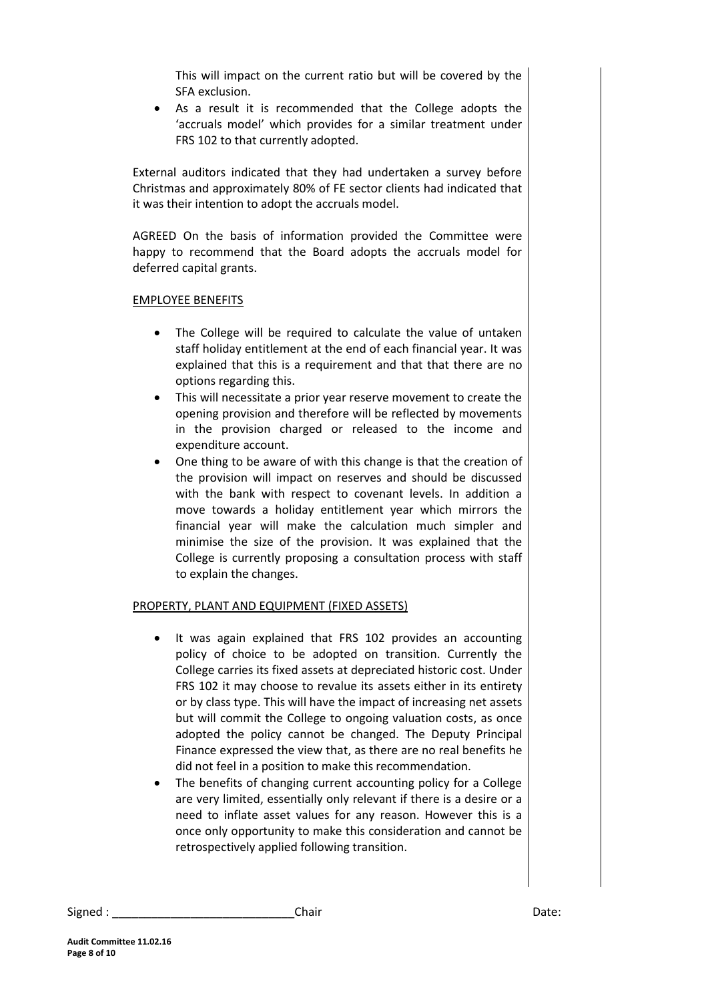This will impact on the current ratio but will be covered by the SFA exclusion.

 As a result it is recommended that the College adopts the 'accruals model' which provides for a similar treatment under FRS 102 to that currently adopted.

External auditors indicated that they had undertaken a survey before Christmas and approximately 80% of FE sector clients had indicated that it was their intention to adopt the accruals model.

AGREED On the basis of information provided the Committee were happy to recommend that the Board adopts the accruals model for deferred capital grants.

## EMPLOYEE BENEFITS

- The College will be required to calculate the value of untaken staff holiday entitlement at the end of each financial year. It was explained that this is a requirement and that that there are no options regarding this.
- This will necessitate a prior year reserve movement to create the opening provision and therefore will be reflected by movements in the provision charged or released to the income and expenditure account.
- One thing to be aware of with this change is that the creation of the provision will impact on reserves and should be discussed with the bank with respect to covenant levels. In addition a move towards a holiday entitlement year which mirrors the financial year will make the calculation much simpler and minimise the size of the provision. It was explained that the College is currently proposing a consultation process with staff to explain the changes.

## PROPERTY, PLANT AND EQUIPMENT (FIXED ASSETS)

- It was again explained that FRS 102 provides an accounting policy of choice to be adopted on transition. Currently the College carries its fixed assets at depreciated historic cost. Under FRS 102 it may choose to revalue its assets either in its entirety or by class type. This will have the impact of increasing net assets but will commit the College to ongoing valuation costs, as once adopted the policy cannot be changed. The Deputy Principal Finance expressed the view that, as there are no real benefits he did not feel in a position to make this recommendation.
- The benefits of changing current accounting policy for a College are very limited, essentially only relevant if there is a desire or a need to inflate asset values for any reason. However this is a once only opportunity to make this consideration and cannot be retrospectively applied following transition.